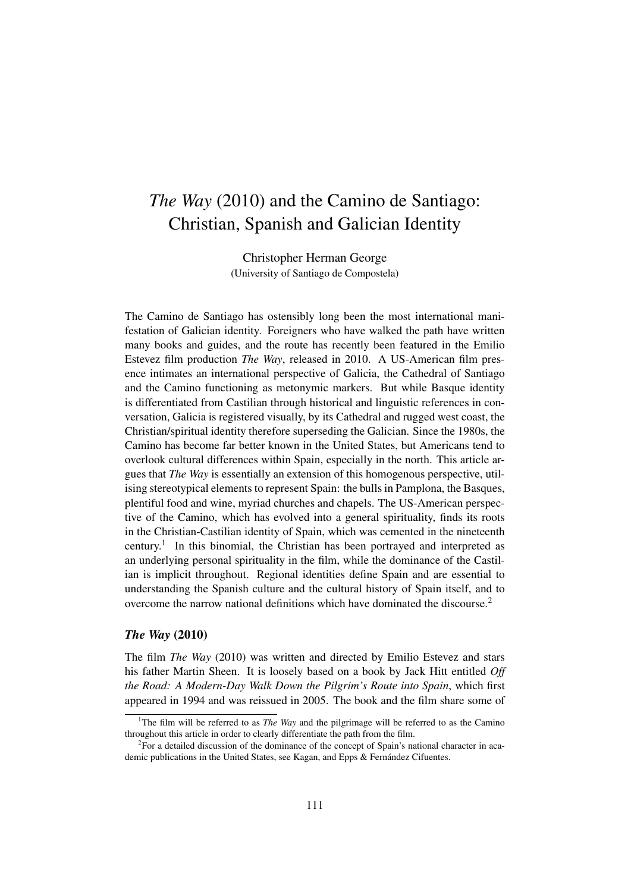# *The Way* (2010) and the Camino de Santiago: Christian, Spanish and Galician Identity

Christopher Herman George (University of Santiago de Compostela)

The Camino de Santiago has ostensibly long been the most international manifestation of Galician identity. Foreigners who have walked the path have written many books and guides, and the route has recently been featured in the Emilio Estevez film production *The Way*, released in 2010. A US-American film presence intimates an international perspective of Galicia, the Cathedral of Santiago and the Camino functioning as metonymic markers. But while Basque identity is differentiated from Castilian through historical and linguistic references in conversation, Galicia is registered visually, by its Cathedral and rugged west coast, the Christian/spiritual identity therefore superseding the Galician. Since the 1980s, the Camino has become far better known in the United States, but Americans tend to overlook cultural differences within Spain, especially in the north. This article argues that *The Way* is essentially an extension of this homogenous perspective, utilising stereotypical elements to represent Spain: the bulls in Pamplona, the Basques, plentiful food and wine, myriad churches and chapels. The US-American perspective of the Camino, which has evolved into a general spirituality, finds its roots in the Christian-Castilian identity of Spain, which was cemented in the nineteenth century.<sup>1</sup> In this binomial, the Christian has been portrayed and interpreted as an underlying personal spirituality in the film, while the dominance of the Castilian is implicit throughout. Regional identities define Spain and are essential to understanding the Spanish culture and the cultural history of Spain itself, and to overcome the narrow national definitions which have dominated the discourse.<sup>2</sup>

## *The Way* (2010)

The film *The Way* (2010) was written and directed by Emilio Estevez and stars his father Martin Sheen. It is loosely based on a book by Jack Hitt entitled *Off the Road: A Modern-Day Walk Down the Pilgrim's Route into Spain*, which first appeared in 1994 and was reissued in 2005. The book and the film share some of

<sup>1</sup>The film will be referred to as *The Way* and the pilgrimage will be referred to as the Camino throughout this article in order to clearly differentiate the path from the film.

 ${}^{2}$ For a detailed discussion of the dominance of the concept of Spain's national character in academic publications in the United States, see Kagan, and Epps & Fernández Cifuentes.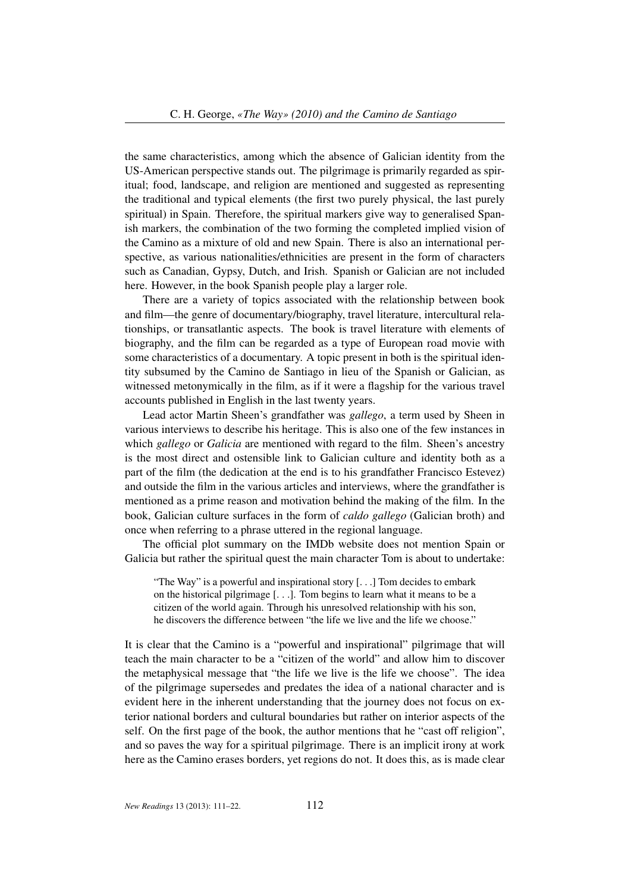the same characteristics, among which the absence of Galician identity from the US-American perspective stands out. The pilgrimage is primarily regarded as spiritual; food, landscape, and religion are mentioned and suggested as representing the traditional and typical elements (the first two purely physical, the last purely spiritual) in Spain. Therefore, the spiritual markers give way to generalised Spanish markers, the combination of the two forming the completed implied vision of the Camino as a mixture of old and new Spain. There is also an international perspective, as various nationalities/ethnicities are present in the form of characters such as Canadian, Gypsy, Dutch, and Irish. Spanish or Galician are not included here. However, in the book Spanish people play a larger role.

There are a variety of topics associated with the relationship between book and film—the genre of documentary/biography, travel literature, intercultural relationships, or transatlantic aspects. The book is travel literature with elements of biography, and the film can be regarded as a type of European road movie with some characteristics of a documentary. A topic present in both is the spiritual identity subsumed by the Camino de Santiago in lieu of the Spanish or Galician, as witnessed metonymically in the film, as if it were a flagship for the various travel accounts published in English in the last twenty years.

Lead actor Martin Sheen's grandfather was *gallego*, a term used by Sheen in various interviews to describe his heritage. This is also one of the few instances in which *gallego* or *Galicia* are mentioned with regard to the film. Sheen's ancestry is the most direct and ostensible link to Galician culture and identity both as a part of the film (the dedication at the end is to his grandfather Francisco Estevez) and outside the film in the various articles and interviews, where the grandfather is mentioned as a prime reason and motivation behind the making of the film. In the book, Galician culture surfaces in the form of *caldo gallego* (Galician broth) and once when referring to a phrase uttered in the regional language.

The official plot summary on the IMDb website does not mention Spain or Galicia but rather the spiritual quest the main character Tom is about to undertake:

"The Way" is a powerful and inspirational story [. . .] Tom decides to embark on the historical pilgrimage [. . .]. Tom begins to learn what it means to be a citizen of the world again. Through his unresolved relationship with his son, he discovers the difference between "the life we live and the life we choose."

It is clear that the Camino is a "powerful and inspirational" pilgrimage that will teach the main character to be a "citizen of the world" and allow him to discover the metaphysical message that "the life we live is the life we choose". The idea of the pilgrimage supersedes and predates the idea of a national character and is evident here in the inherent understanding that the journey does not focus on exterior national borders and cultural boundaries but rather on interior aspects of the self. On the first page of the book, the author mentions that he "cast off religion", and so paves the way for a spiritual pilgrimage. There is an implicit irony at work here as the Camino erases borders, yet regions do not. It does this, as is made clear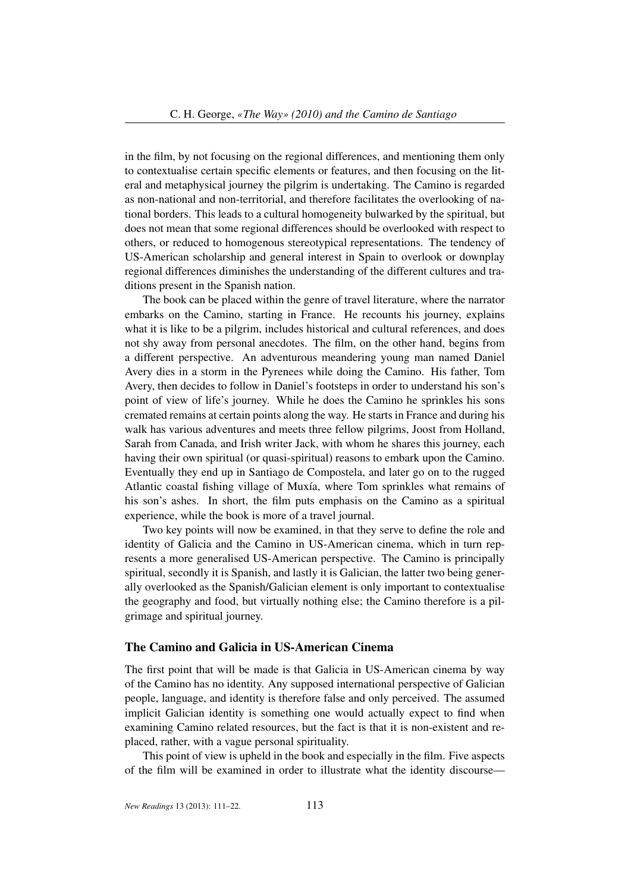in the film, by not focusing on the regional differences, and mentioning them only to contextualise certain specific elements or features, and then focusing on the literal and metaphysical journey the pilgrim is undertaking. The Camino is regarded as non-national and non-territorial, and therefore facilitates the overlooking of national borders. This leads to a cultural homogeneity bulwarked by the spiritual, but does not mean that some regional differences should be overlooked with respect to others, or reduced to homogenous stereotypical representations. The tendency of US-American scholarship and general interest in Spain to overlook or downplay regional differences diminishes the understanding of the different cultures and traditions present in the Spanish nation.

The book can be placed within the genre of travel literature, where the narrator embarks on the Camino, starting in France. He recounts his journey, explains what it is like to be a pilgrim, includes historical and cultural references, and does not shy away from personal anecdotes. The film, on the other hand, begins from a different perspective. An adventurous meandering young man named Daniel Avery dies in a storm in the Pyrenees while doing the Camino. His father, Tom Avery, then decides to follow in Daniel's footsteps in order to understand his son's point of view of life's journey. While he does the Camino he sprinkles his sons cremated remains at certain points along the way. He starts in France and during his walk has various adventures and meets three fellow pilgrims, Joost from Holland, Sarah from Canada, and Irish writer Jack, with whom he shares this journey, each having their own spiritual (or quasi-spiritual) reasons to embark upon the Camino. Eventually they end up in Santiago de Compostela, and later go on to the rugged Atlantic coastal fishing village of Muxía, where Tom sprinkles what remains of his son's ashes. In short, the film puts emphasis on the Camino as a spiritual experience, while the book is more of a travel journal.

Two key points will now be examined, in that they serve to define the role and identity of Galicia and the Camino in US-American cinema, which in turn represents a more generalised US-American perspective. The Camino is principally spiritual, secondly it is Spanish, and lastly it is Galician, the latter two being generally overlooked as the Spanish/Galician element is only important to contextualise the geography and food, but virtually nothing else; the Camino therefore is a pilgrimage and spiritual journey.

### The Camino and Galicia in US-American Cinema

The first point that will be made is that Galicia in US-American cinema by way of the Camino has no identity. Any supposed international perspective of Galician people, language, and identity is therefore false and only perceived. The assumed implicit Galician identity is something one would actually expect to find when examining Camino related resources, but the fact is that it is non-existent and replaced, rather, with a vague personal spirituality.

This point of view is upheld in the book and especially in the film. Five aspects of the film will be examined in order to illustrate what the identity discourse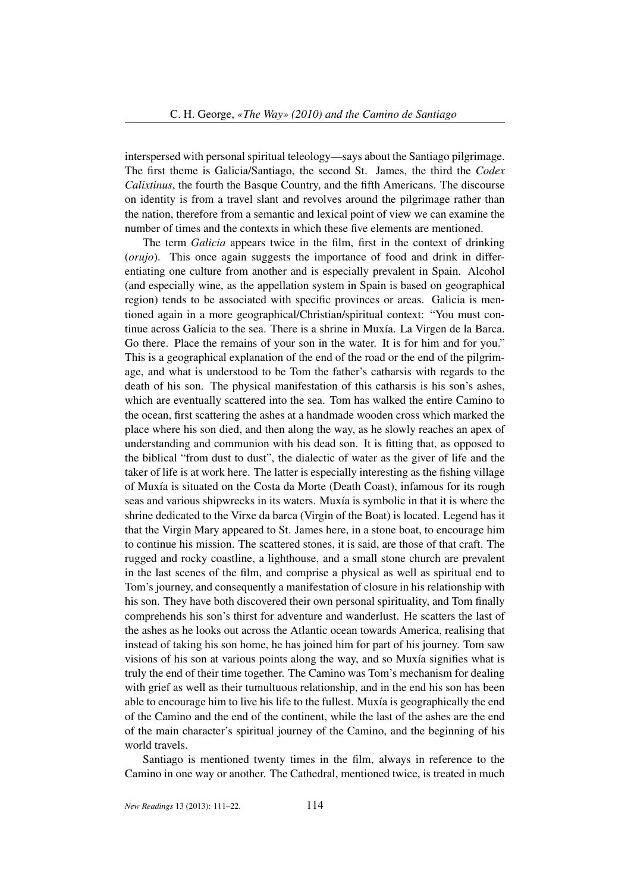interspersed with personal spiritual teleology—says about the Santiago pilgrimage. The first theme is Galicia/Santiago, the second St. James, the third the *Codex Calixtinus*, the fourth the Basque Country, and the fifth Americans. The discourse on identity is from a travel slant and revolves around the pilgrimage rather than the nation, therefore from a semantic and lexical point of view we can examine the number of times and the contexts in which these five elements are mentioned.

The term *Galicia* appears twice in the film, first in the context of drinking (*orujo*). This once again suggests the importance of food and drink in differentiating one culture from another and is especially prevalent in Spain. Alcohol (and especially wine, as the appellation system in Spain is based on geographical region) tends to be associated with specific provinces or areas. Galicia is mentioned again in a more geographical/Christian/spiritual context: "You must continue across Galicia to the sea. There is a shrine in Muxía. La Virgen de la Barca. Go there. Place the remains of your son in the water. It is for him and for you." This is a geographical explanation of the end of the road or the end of the pilgrimage, and what is understood to be Tom the father's catharsis with regards to the death of his son. The physical manifestation of this catharsis is his son's ashes, which are eventually scattered into the sea. Tom has walked the entire Camino to the ocean, first scattering the ashes at a handmade wooden cross which marked the place where his son died, and then along the way, as he slowly reaches an apex of understanding and communion with his dead son. It is fitting that, as opposed to the biblical "from dust to dust", the dialectic of water as the giver of life and the taker of life is at work here. The latter is especially interesting as the fishing village of Muxía is situated on the Costa da Morte (Death Coast), infamous for its rough seas and various shipwrecks in its waters. Muxía is symbolic in that it is where the shrine dedicated to the Virxe da barca (Virgin of the Boat) is located. Legend has it that the Virgin Mary appeared to St. James here, in a stone boat, to encourage him to continue his mission. The scattered stones, it is said, are those of that craft. The rugged and rocky coastline, a lighthouse, and a small stone church are prevalent in the last scenes of the film, and comprise a physical as well as spiritual end to Tom's journey, and consequently a manifestation of closure in his relationship with his son. They have both discovered their own personal spirituality, and Tom finally comprehends his son's thirst for adventure and wanderlust. He scatters the last of the ashes as he looks out across the Atlantic ocean towards America, realising that instead of taking his son home, he has joined him for part of his journey. Tom saw visions of his son at various points along the way, and so Muxía signifies what is truly the end of their time together. The Camino was Tom's mechanism for dealing with grief as well as their tumultuous relationship, and in the end his son has been able to encourage him to live his life to the fullest. Muxía is geographically the end of the Camino and the end of the continent, while the last of the ashes are the end of the main character's spiritual journey of the Camino, and the beginning of his world travels.

Santiago is mentioned twenty times in the film, always in reference to the Camino in one way or another. The Cathedral, mentioned twice, is treated in much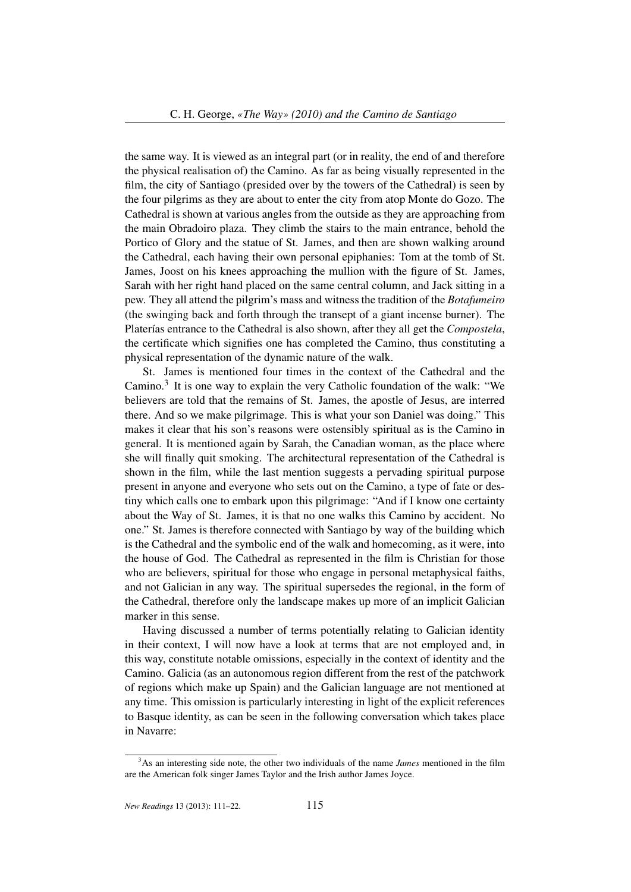the same way. It is viewed as an integral part (or in reality, the end of and therefore the physical realisation of) the Camino. As far as being visually represented in the film, the city of Santiago (presided over by the towers of the Cathedral) is seen by the four pilgrims as they are about to enter the city from atop Monte do Gozo. The Cathedral is shown at various angles from the outside as they are approaching from the main Obradoiro plaza. They climb the stairs to the main entrance, behold the Portico of Glory and the statue of St. James, and then are shown walking around the Cathedral, each having their own personal epiphanies: Tom at the tomb of St. James, Joost on his knees approaching the mullion with the figure of St. James, Sarah with her right hand placed on the same central column, and Jack sitting in a pew. They all attend the pilgrim's mass and witness the tradition of the *Botafumeiro* (the swinging back and forth through the transept of a giant incense burner). The Platerías entrance to the Cathedral is also shown, after they all get the *Compostela*, the certificate which signifies one has completed the Camino, thus constituting a physical representation of the dynamic nature of the walk.

St. James is mentioned four times in the context of the Cathedral and the Camino.<sup>3</sup> It is one way to explain the very Catholic foundation of the walk: "We believers are told that the remains of St. James, the apostle of Jesus, are interred there. And so we make pilgrimage. This is what your son Daniel was doing." This makes it clear that his son's reasons were ostensibly spiritual as is the Camino in general. It is mentioned again by Sarah, the Canadian woman, as the place where she will finally quit smoking. The architectural representation of the Cathedral is shown in the film, while the last mention suggests a pervading spiritual purpose present in anyone and everyone who sets out on the Camino, a type of fate or destiny which calls one to embark upon this pilgrimage: "And if I know one certainty about the Way of St. James, it is that no one walks this Camino by accident. No one." St. James is therefore connected with Santiago by way of the building which is the Cathedral and the symbolic end of the walk and homecoming, as it were, into the house of God. The Cathedral as represented in the film is Christian for those who are believers, spiritual for those who engage in personal metaphysical faiths, and not Galician in any way. The spiritual supersedes the regional, in the form of the Cathedral, therefore only the landscape makes up more of an implicit Galician marker in this sense.

Having discussed a number of terms potentially relating to Galician identity in their context, I will now have a look at terms that are not employed and, in this way, constitute notable omissions, especially in the context of identity and the Camino. Galicia (as an autonomous region different from the rest of the patchwork of regions which make up Spain) and the Galician language are not mentioned at any time. This omission is particularly interesting in light of the explicit references to Basque identity, as can be seen in the following conversation which takes place in Navarre:

<sup>&</sup>lt;sup>3</sup>As an interesting side note, the other two individuals of the name *James* mentioned in the film are the American folk singer James Taylor and the Irish author James Joyce.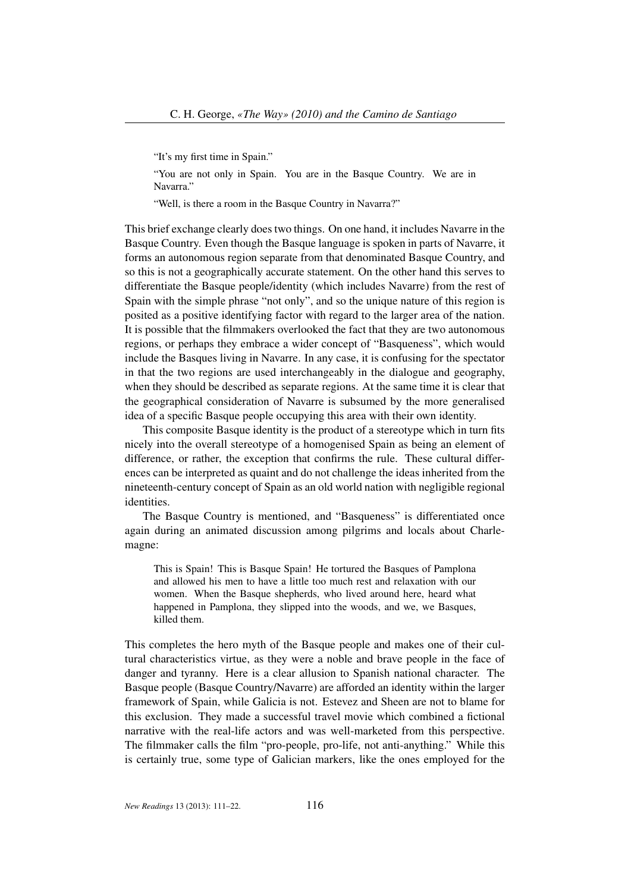"It's my first time in Spain."

"You are not only in Spain. You are in the Basque Country. We are in Navarra."

"Well, is there a room in the Basque Country in Navarra?"

This brief exchange clearly does two things. On one hand, it includes Navarre in the Basque Country. Even though the Basque language is spoken in parts of Navarre, it forms an autonomous region separate from that denominated Basque Country, and so this is not a geographically accurate statement. On the other hand this serves to differentiate the Basque people/identity (which includes Navarre) from the rest of Spain with the simple phrase "not only", and so the unique nature of this region is posited as a positive identifying factor with regard to the larger area of the nation. It is possible that the filmmakers overlooked the fact that they are two autonomous regions, or perhaps they embrace a wider concept of "Basqueness", which would include the Basques living in Navarre. In any case, it is confusing for the spectator in that the two regions are used interchangeably in the dialogue and geography, when they should be described as separate regions. At the same time it is clear that the geographical consideration of Navarre is subsumed by the more generalised idea of a specific Basque people occupying this area with their own identity.

This composite Basque identity is the product of a stereotype which in turn fits nicely into the overall stereotype of a homogenised Spain as being an element of difference, or rather, the exception that confirms the rule. These cultural differences can be interpreted as quaint and do not challenge the ideas inherited from the nineteenth-century concept of Spain as an old world nation with negligible regional identities.

The Basque Country is mentioned, and "Basqueness" is differentiated once again during an animated discussion among pilgrims and locals about Charlemagne:

This is Spain! This is Basque Spain! He tortured the Basques of Pamplona and allowed his men to have a little too much rest and relaxation with our women. When the Basque shepherds, who lived around here, heard what happened in Pamplona, they slipped into the woods, and we, we Basques, killed them.

This completes the hero myth of the Basque people and makes one of their cultural characteristics virtue, as they were a noble and brave people in the face of danger and tyranny. Here is a clear allusion to Spanish national character. The Basque people (Basque Country/Navarre) are afforded an identity within the larger framework of Spain, while Galicia is not. Estevez and Sheen are not to blame for this exclusion. They made a successful travel movie which combined a fictional narrative with the real-life actors and was well-marketed from this perspective. The filmmaker calls the film "pro-people, pro-life, not anti-anything." While this is certainly true, some type of Galician markers, like the ones employed for the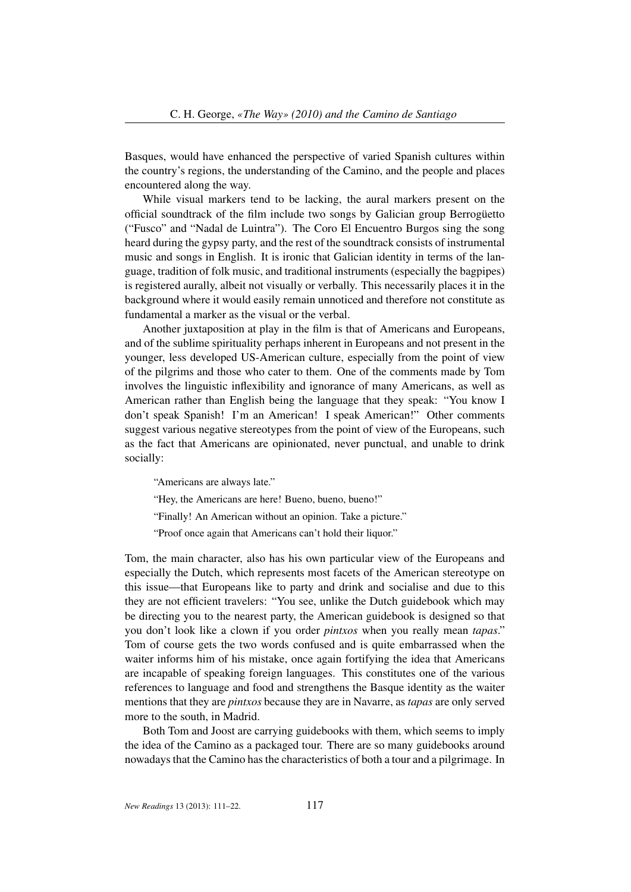Basques, would have enhanced the perspective of varied Spanish cultures within the country's regions, the understanding of the Camino, and the people and places encountered along the way.

While visual markers tend to be lacking, the aural markers present on the official soundtrack of the film include two songs by Galician group Berrogüetto ("Fusco" and "Nadal de Luintra"). The Coro El Encuentro Burgos sing the song heard during the gypsy party, and the rest of the soundtrack consists of instrumental music and songs in English. It is ironic that Galician identity in terms of the language, tradition of folk music, and traditional instruments (especially the bagpipes) is registered aurally, albeit not visually or verbally. This necessarily places it in the background where it would easily remain unnoticed and therefore not constitute as fundamental a marker as the visual or the verbal.

Another juxtaposition at play in the film is that of Americans and Europeans, and of the sublime spirituality perhaps inherent in Europeans and not present in the younger, less developed US-American culture, especially from the point of view of the pilgrims and those who cater to them. One of the comments made by Tom involves the linguistic inflexibility and ignorance of many Americans, as well as American rather than English being the language that they speak: "You know I don't speak Spanish! I'm an American! I speak American!" Other comments suggest various negative stereotypes from the point of view of the Europeans, such as the fact that Americans are opinionated, never punctual, and unable to drink socially:

"Americans are always late."

"Hey, the Americans are here! Bueno, bueno, bueno!"

"Finally! An American without an opinion. Take a picture."

"Proof once again that Americans can't hold their liquor."

Tom, the main character, also has his own particular view of the Europeans and especially the Dutch, which represents most facets of the American stereotype on this issue—that Europeans like to party and drink and socialise and due to this they are not efficient travelers: "You see, unlike the Dutch guidebook which may be directing you to the nearest party, the American guidebook is designed so that you don't look like a clown if you order *pintxos* when you really mean *tapas*." Tom of course gets the two words confused and is quite embarrassed when the waiter informs him of his mistake, once again fortifying the idea that Americans are incapable of speaking foreign languages. This constitutes one of the various references to language and food and strengthens the Basque identity as the waiter mentions that they are *pintxos* because they are in Navarre, as *tapas* are only served more to the south, in Madrid.

Both Tom and Joost are carrying guidebooks with them, which seems to imply the idea of the Camino as a packaged tour. There are so many guidebooks around nowadays that the Camino has the characteristics of both a tour and a pilgrimage. In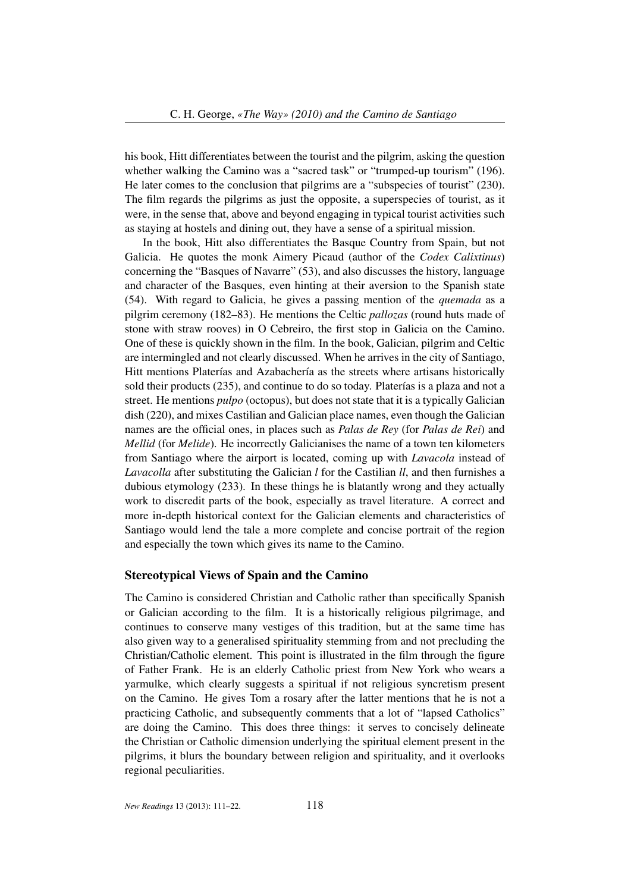his book, Hitt differentiates between the tourist and the pilgrim, asking the question whether walking the Camino was a "sacred task" or "trumped-up tourism" (196). He later comes to the conclusion that pilgrims are a "subspecies of tourist" (230). The film regards the pilgrims as just the opposite, a superspecies of tourist, as it were, in the sense that, above and beyond engaging in typical tourist activities such as staying at hostels and dining out, they have a sense of a spiritual mission.

In the book, Hitt also differentiates the Basque Country from Spain, but not Galicia. He quotes the monk Aimery Picaud (author of the *Codex Calixtinus*) concerning the "Basques of Navarre" (53), and also discusses the history, language and character of the Basques, even hinting at their aversion to the Spanish state (54). With regard to Galicia, he gives a passing mention of the *quemada* as a pilgrim ceremony (182–83). He mentions the Celtic *pallozas* (round huts made of stone with straw rooves) in O Cebreiro, the first stop in Galicia on the Camino. One of these is quickly shown in the film. In the book, Galician, pilgrim and Celtic are intermingled and not clearly discussed. When he arrives in the city of Santiago, Hitt mentions Platerías and Azabachería as the streets where artisans historically sold their products (235), and continue to do so today. Platerías is a plaza and not a street. He mentions *pulpo* (octopus), but does not state that it is a typically Galician dish (220), and mixes Castilian and Galician place names, even though the Galician names are the official ones, in places such as *Palas de Rey* (for *Palas de Rei*) and *Mellid* (for *Melide*). He incorrectly Galicianises the name of a town ten kilometers from Santiago where the airport is located, coming up with *Lavacola* instead of *Lavacolla* after substituting the Galician *l* for the Castilian *ll*, and then furnishes a dubious etymology (233). In these things he is blatantly wrong and they actually work to discredit parts of the book, especially as travel literature. A correct and more in-depth historical context for the Galician elements and characteristics of Santiago would lend the tale a more complete and concise portrait of the region and especially the town which gives its name to the Camino.

#### Stereotypical Views of Spain and the Camino

The Camino is considered Christian and Catholic rather than specifically Spanish or Galician according to the film. It is a historically religious pilgrimage, and continues to conserve many vestiges of this tradition, but at the same time has also given way to a generalised spirituality stemming from and not precluding the Christian/Catholic element. This point is illustrated in the film through the figure of Father Frank. He is an elderly Catholic priest from New York who wears a yarmulke, which clearly suggests a spiritual if not religious syncretism present on the Camino. He gives Tom a rosary after the latter mentions that he is not a practicing Catholic, and subsequently comments that a lot of "lapsed Catholics" are doing the Camino. This does three things: it serves to concisely delineate the Christian or Catholic dimension underlying the spiritual element present in the pilgrims, it blurs the boundary between religion and spirituality, and it overlooks regional peculiarities.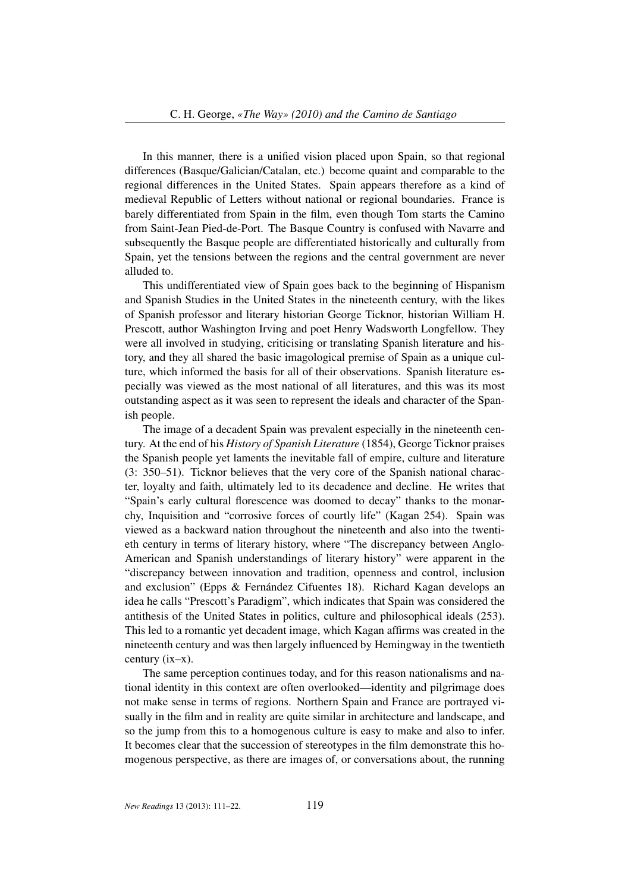In this manner, there is a unified vision placed upon Spain, so that regional differences (Basque/Galician/Catalan, etc.) become quaint and comparable to the regional differences in the United States. Spain appears therefore as a kind of medieval Republic of Letters without national or regional boundaries. France is barely differentiated from Spain in the film, even though Tom starts the Camino from Saint-Jean Pied-de-Port. The Basque Country is confused with Navarre and subsequently the Basque people are differentiated historically and culturally from Spain, yet the tensions between the regions and the central government are never alluded to.

This undifferentiated view of Spain goes back to the beginning of Hispanism and Spanish Studies in the United States in the nineteenth century, with the likes of Spanish professor and literary historian George Ticknor, historian William H. Prescott, author Washington Irving and poet Henry Wadsworth Longfellow. They were all involved in studying, criticising or translating Spanish literature and history, and they all shared the basic imagological premise of Spain as a unique culture, which informed the basis for all of their observations. Spanish literature especially was viewed as the most national of all literatures, and this was its most outstanding aspect as it was seen to represent the ideals and character of the Spanish people.

The image of a decadent Spain was prevalent especially in the nineteenth century. At the end of his *History of Spanish Literature* (1854), George Ticknor praises the Spanish people yet laments the inevitable fall of empire, culture and literature (3: 350–51). Ticknor believes that the very core of the Spanish national character, loyalty and faith, ultimately led to its decadence and decline. He writes that "Spain's early cultural florescence was doomed to decay" thanks to the monarchy, Inquisition and "corrosive forces of courtly life" (Kagan 254). Spain was viewed as a backward nation throughout the nineteenth and also into the twentieth century in terms of literary history, where "The discrepancy between Anglo-American and Spanish understandings of literary history" were apparent in the "discrepancy between innovation and tradition, openness and control, inclusion and exclusion" (Epps & Fernández Cifuentes 18). Richard Kagan develops an idea he calls "Prescott's Paradigm", which indicates that Spain was considered the antithesis of the United States in politics, culture and philosophical ideals (253). This led to a romantic yet decadent image, which Kagan affirms was created in the nineteenth century and was then largely influenced by Hemingway in the twentieth century (ix–x).

The same perception continues today, and for this reason nationalisms and national identity in this context are often overlooked—identity and pilgrimage does not make sense in terms of regions. Northern Spain and France are portrayed visually in the film and in reality are quite similar in architecture and landscape, and so the jump from this to a homogenous culture is easy to make and also to infer. It becomes clear that the succession of stereotypes in the film demonstrate this homogenous perspective, as there are images of, or conversations about, the running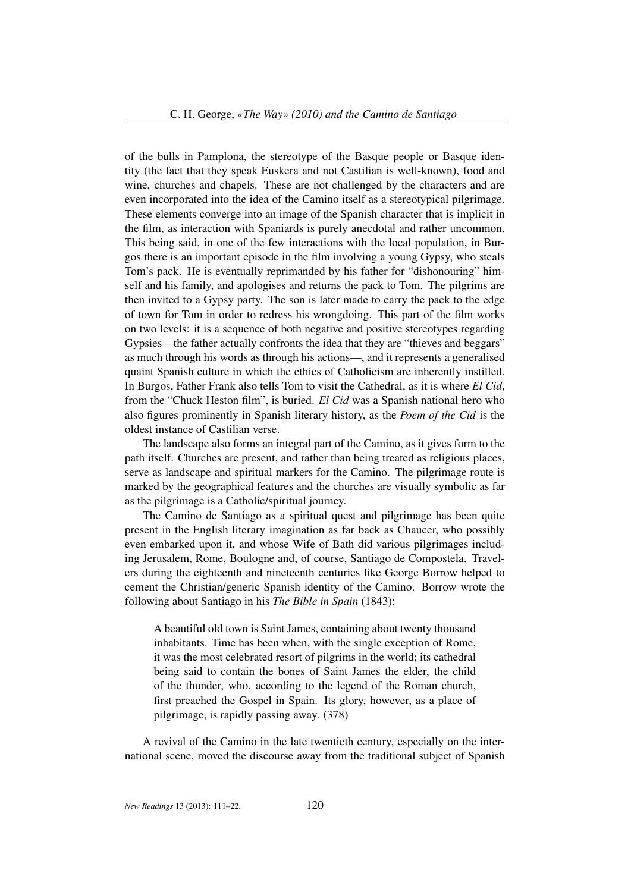of the bulls in Pamplona, the stereotype of the Basque people or Basque identity (the fact that they speak Euskera and not Castilian is well-known), food and wine, churches and chapels. These are not challenged by the characters and are even incorporated into the idea of the Camino itself as a stereotypical pilgrimage. These elements converge into an image of the Spanish character that is implicit in the film, as interaction with Spaniards is purely anecdotal and rather uncommon. This being said, in one of the few interactions with the local population, in Burgos there is an important episode in the film involving a young Gypsy, who steals Tom's pack. He is eventually reprimanded by his father for "dishonouring" himself and his family, and apologises and returns the pack to Tom. The pilgrims are then invited to a Gypsy party. The son is later made to carry the pack to the edge of town for Tom in order to redress his wrongdoing. This part of the film works on two levels: it is a sequence of both negative and positive stereotypes regarding Gypsies—the father actually confronts the idea that they are "thieves and beggars" as much through his words as through his actions—, and it represents a generalised quaint Spanish culture in which the ethics of Catholicism are inherently instilled. In Burgos, Father Frank also tells Tom to visit the Cathedral, as it is where *El Cid*, from the "Chuck Heston film", is buried. *El Cid* was a Spanish national hero who also figures prominently in Spanish literary history, as the *Poem of the Cid* is the oldest instance of Castilian verse.

The landscape also forms an integral part of the Camino, as it gives form to the path itself. Churches are present, and rather than being treated as religious places, serve as landscape and spiritual markers for the Camino. The pilgrimage route is marked by the geographical features and the churches are visually symbolic as far as the pilgrimage is a Catholic/spiritual journey.

The Camino de Santiago as a spiritual quest and pilgrimage has been quite present in the English literary imagination as far back as Chaucer, who possibly even embarked upon it, and whose Wife of Bath did various pilgrimages including Jerusalem, Rome, Boulogne and, of course, Santiago de Compostela. Travelers during the eighteenth and nineteenth centuries like George Borrow helped to cement the Christian/generic Spanish identity of the Camino. Borrow wrote the following about Santiago in his *The Bible in Spain* (1843):

A beautiful old town is Saint James, containing about twenty thousand inhabitants. Time has been when, with the single exception of Rome, it was the most celebrated resort of pilgrims in the world; its cathedral being said to contain the bones of Saint James the elder, the child of the thunder, who, according to the legend of the Roman church, first preached the Gospel in Spain. Its glory, however, as a place of pilgrimage, is rapidly passing away. (378)

A revival of the Camino in the late twentieth century, especially on the international scene, moved the discourse away from the traditional subject of Spanish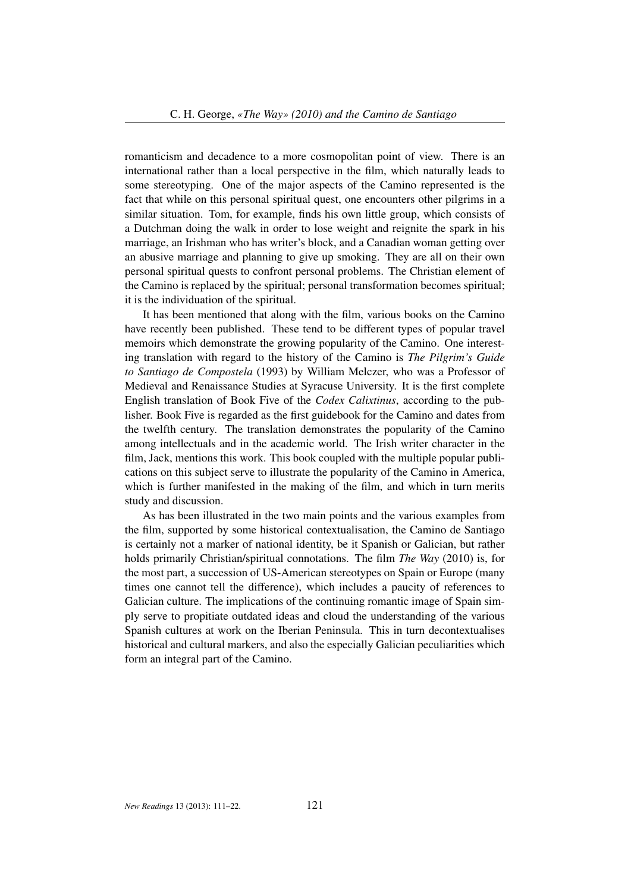romanticism and decadence to a more cosmopolitan point of view. There is an international rather than a local perspective in the film, which naturally leads to some stereotyping. One of the major aspects of the Camino represented is the fact that while on this personal spiritual quest, one encounters other pilgrims in a similar situation. Tom, for example, finds his own little group, which consists of a Dutchman doing the walk in order to lose weight and reignite the spark in his marriage, an Irishman who has writer's block, and a Canadian woman getting over an abusive marriage and planning to give up smoking. They are all on their own personal spiritual quests to confront personal problems. The Christian element of the Camino is replaced by the spiritual; personal transformation becomes spiritual; it is the individuation of the spiritual.

It has been mentioned that along with the film, various books on the Camino have recently been published. These tend to be different types of popular travel memoirs which demonstrate the growing popularity of the Camino. One interesting translation with regard to the history of the Camino is *The Pilgrim's Guide to Santiago de Compostela* (1993) by William Melczer, who was a Professor of Medieval and Renaissance Studies at Syracuse University. It is the first complete English translation of Book Five of the *Codex Calixtinus*, according to the publisher. Book Five is regarded as the first guidebook for the Camino and dates from the twelfth century. The translation demonstrates the popularity of the Camino among intellectuals and in the academic world. The Irish writer character in the film, Jack, mentions this work. This book coupled with the multiple popular publications on this subject serve to illustrate the popularity of the Camino in America, which is further manifested in the making of the film, and which in turn merits study and discussion.

As has been illustrated in the two main points and the various examples from the film, supported by some historical contextualisation, the Camino de Santiago is certainly not a marker of national identity, be it Spanish or Galician, but rather holds primarily Christian/spiritual connotations. The film *The Way* (2010) is, for the most part, a succession of US-American stereotypes on Spain or Europe (many times one cannot tell the difference), which includes a paucity of references to Galician culture. The implications of the continuing romantic image of Spain simply serve to propitiate outdated ideas and cloud the understanding of the various Spanish cultures at work on the Iberian Peninsula. This in turn decontextualises historical and cultural markers, and also the especially Galician peculiarities which form an integral part of the Camino.